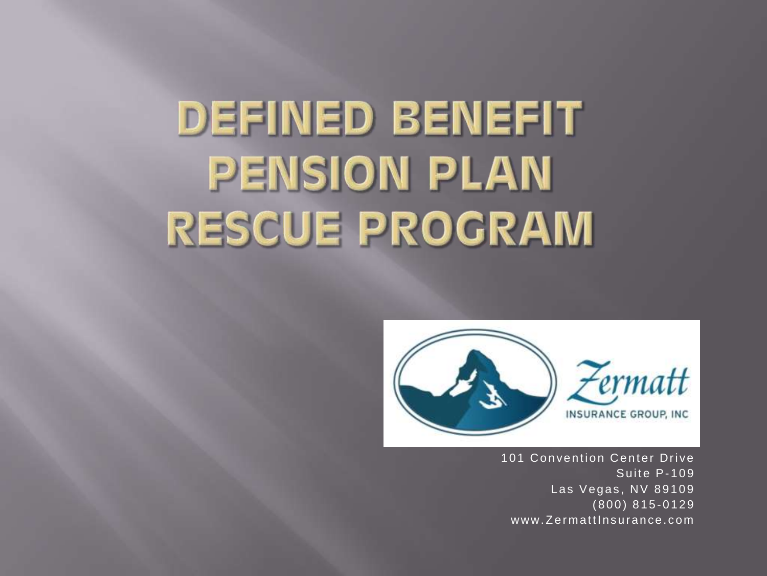# **DEFINED BENEFIT PENSION PLAN RESCUE PROGRAM**



101 Convention Center Drive Suite P-109 Las Vegas, NV 89109  $(800) 815 - 0129$ www.ZermattInsurance.com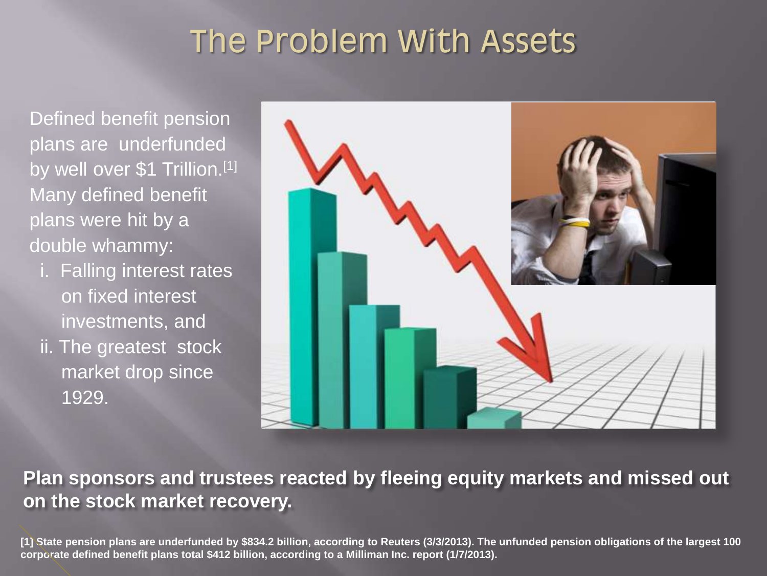## The Problem With Assets

Defined benefit pension plans are underfunded by well over \$1 Trillion.<sup>[1]</sup> Many defined benefit plans were hit by a double whammy:

 i. Falling interest rates on fixed interest investments, and ii. The greatest stock market drop since 1929.



**Plan sponsors and trustees reacted by fleeing equity markets and missed out on the stock market recovery.**

**[1] State pension plans are underfunded by \$834.2 billion, according to Reuters (3/3/2013). The unfunded pension obligations of the largest 100 corporate defined benefit plans total \$412 billion, according to a Milliman Inc. report (1/7/2013).**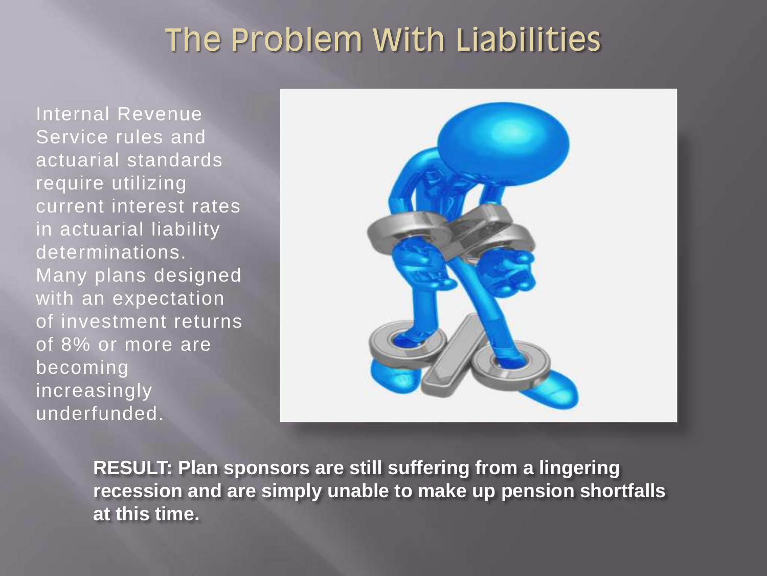### The Problem With Liabilities

Internal Revenue Service rules and actuarial standards require utilizing current interest rates in actuarial liability determinations. Many plans designed with an expectation of investment returns of 8% or more are becoming increasingly underfunded.



**RESULT: Plan sponsors are still suffering from a lingering recession and are simply unable to make up pension shortfalls at this time.**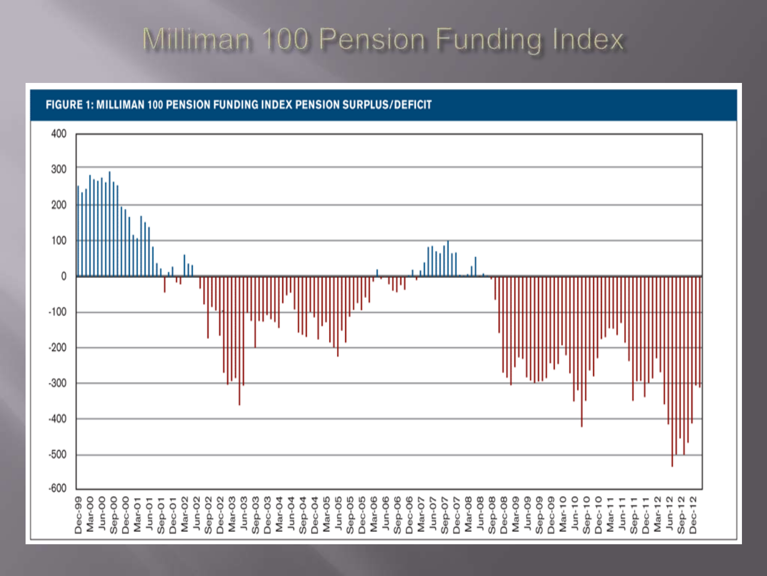### Milliman 100 Pension Funding Index

FIGURE 1: MILLIMAN 100 PENSION FUNDING INDEX PENSION SURPLUS/DEFICIT

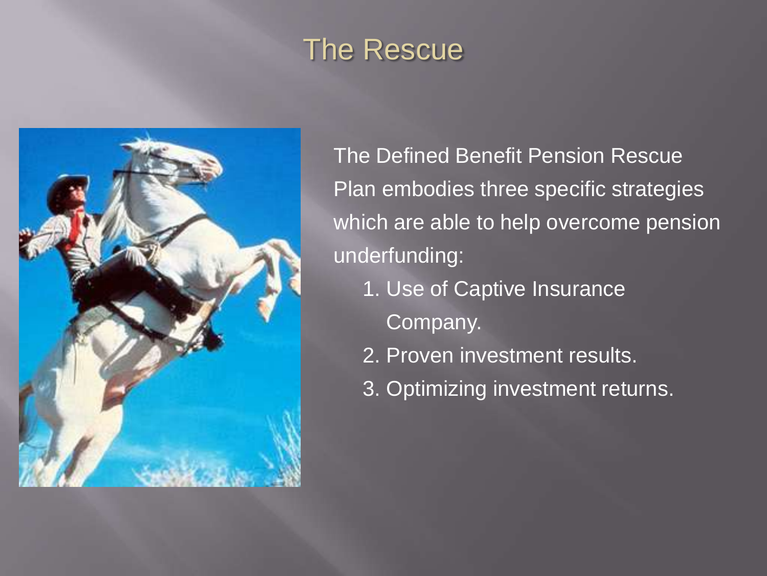## The Rescue



The Defined Benefit Pension Rescue Plan embodies three specific strategies which are able to help overcome pension underfunding:

- 1. Use of Captive Insurance
	- Company.
- 2. Proven investment results.
- 3. Optimizing investment returns.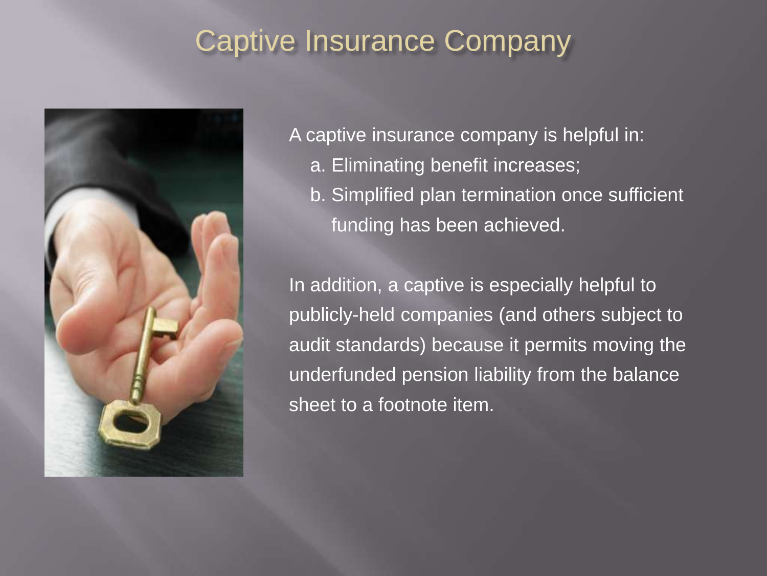#### Captive Insurance Company



A captive insurance company is helpful in: a. Eliminating benefit increases; b. Simplified plan termination once sufficient funding has been achieved.

In addition, a captive is especially helpful to publicly-held companies (and others subject to audit standards) because it permits moving the underfunded pension liability from the balance sheet to a footnote item.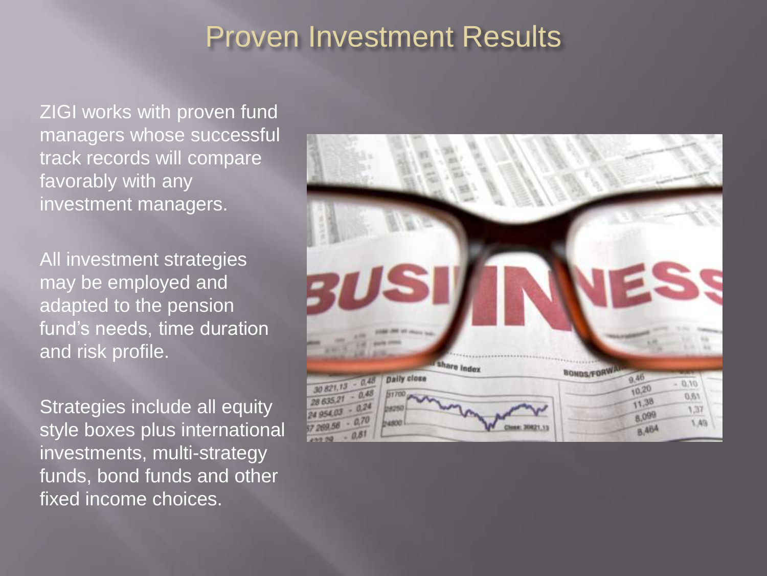#### Proven Investment Results

ZIGI works with proven fund managers whose successful track records will compare favorably with any investment managers.

All investment strategies may be employed and adapted to the pension fund's needs, time duration and risk profile.

Strategies include all equity style boxes plus international investments, multi-strategy funds, bond funds and other fixed income choices.

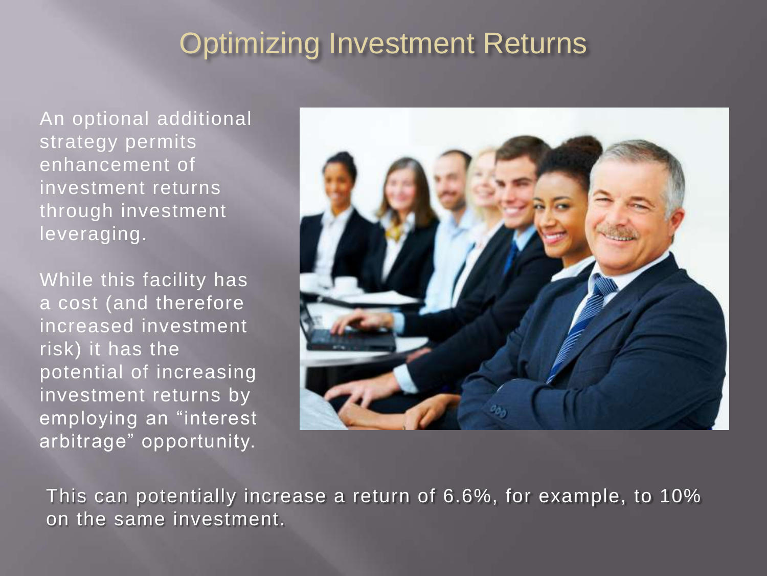#### **Optimizing Investment Returns**

An optional additional strategy permits enhancement of investment returns through investment leveraging.

While this facility has a cost (and therefore increased investment risk) it has the potential of increasing investment returns by employing an "interest arbitrage" opportunity.



This can potentially increase a return of 6.6%, for example, to 10% on the same investment.